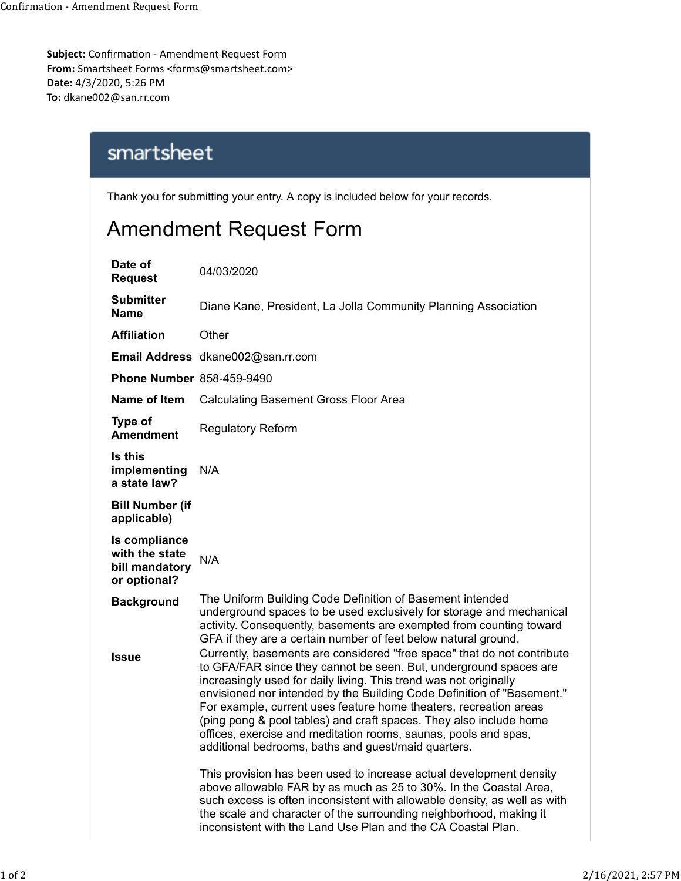Subject: Confirmation - Amendment Request Form From: Smartsheet Forms <forms@smartsheet.com> Date: 4/3/2020, 5:26 PM To: dkane002@san.rr.com Confirmation - Amendment Request Form<br> **Subject:** Confirmation - Amendment Request Form<br> **From:** Smartsheet Forms <forms@smartsheet.com>

## Amendment Request Form

| nfirmation - Amendment Request Form<br>tsheet Forms <forms@smartsheet.com><br/>020, 5:26 PM<br/>2@san.rr.com</forms@smartsheet.com> |                                                                                                                                                                                                                                                                                                                                                                                                                                                                                                                                                                  |  |
|-------------------------------------------------------------------------------------------------------------------------------------|------------------------------------------------------------------------------------------------------------------------------------------------------------------------------------------------------------------------------------------------------------------------------------------------------------------------------------------------------------------------------------------------------------------------------------------------------------------------------------------------------------------------------------------------------------------|--|
| smartsheet                                                                                                                          |                                                                                                                                                                                                                                                                                                                                                                                                                                                                                                                                                                  |  |
| Thank you for submitting your entry. A copy is included below for your records.                                                     |                                                                                                                                                                                                                                                                                                                                                                                                                                                                                                                                                                  |  |
| <b>Amendment Request Form</b>                                                                                                       |                                                                                                                                                                                                                                                                                                                                                                                                                                                                                                                                                                  |  |
| Date of<br><b>Request</b>                                                                                                           | 04/03/2020                                                                                                                                                                                                                                                                                                                                                                                                                                                                                                                                                       |  |
| <b>Submitter</b><br><b>Name</b>                                                                                                     | Diane Kane, President, La Jolla Community Planning Association                                                                                                                                                                                                                                                                                                                                                                                                                                                                                                   |  |
| <b>Affiliation</b>                                                                                                                  | Other                                                                                                                                                                                                                                                                                                                                                                                                                                                                                                                                                            |  |
|                                                                                                                                     | Email Address dkane002@san.rr.com                                                                                                                                                                                                                                                                                                                                                                                                                                                                                                                                |  |
| <b>Phone Number 858-459-9490</b>                                                                                                    |                                                                                                                                                                                                                                                                                                                                                                                                                                                                                                                                                                  |  |
| Name of Item                                                                                                                        | <b>Calculating Basement Gross Floor Area</b>                                                                                                                                                                                                                                                                                                                                                                                                                                                                                                                     |  |
| Type of<br><b>Amendment</b>                                                                                                         | <b>Regulatory Reform</b>                                                                                                                                                                                                                                                                                                                                                                                                                                                                                                                                         |  |
| Is this<br>implementing<br>a state law?                                                                                             | N/A                                                                                                                                                                                                                                                                                                                                                                                                                                                                                                                                                              |  |
| <b>Bill Number (if</b><br>applicable)                                                                                               |                                                                                                                                                                                                                                                                                                                                                                                                                                                                                                                                                                  |  |
| Is compliance<br>with the state<br>bill mandatory<br>or optional?                                                                   | N/A                                                                                                                                                                                                                                                                                                                                                                                                                                                                                                                                                              |  |
| <b>Background</b>                                                                                                                   | The Uniform Building Code Definition of Basement intended<br>underground spaces to be used exclusively for storage and mechanical<br>activity. Consequently, basements are exempted from counting toward<br>GFA if they are a certain number of feet below natural ground.                                                                                                                                                                                                                                                                                       |  |
| <b>Issue</b>                                                                                                                        | Currently, basements are considered "free space" that do not contribute<br>to GFA/FAR since they cannot be seen. But, underground spaces are<br>increasingly used for daily living. This trend was not originally<br>envisioned nor intended by the Building Code Definition of "Basement."<br>For example, current uses feature home theaters, recreation areas<br>(ping pong & pool tables) and craft spaces. They also include home<br>offices, exercise and meditation rooms, saunas, pools and spas,<br>additional bedrooms, baths and guest/maid quarters. |  |
|                                                                                                                                     | This provision has been used to increase actual development density<br>above allowable FAR by as much as 25 to 30%. In the Coastal Area,<br>such excess is often inconsistent with allowable density, as well as with<br>the scale and character of the surrounding neighborhood, making it<br>inconsistent with the Land Use Plan and the CA Coastal Plan.                                                                                                                                                                                                      |  |
|                                                                                                                                     |                                                                                                                                                                                                                                                                                                                                                                                                                                                                                                                                                                  |  |
|                                                                                                                                     | 2/16/2021, 2:57 PM                                                                                                                                                                                                                                                                                                                                                                                                                                                                                                                                               |  |